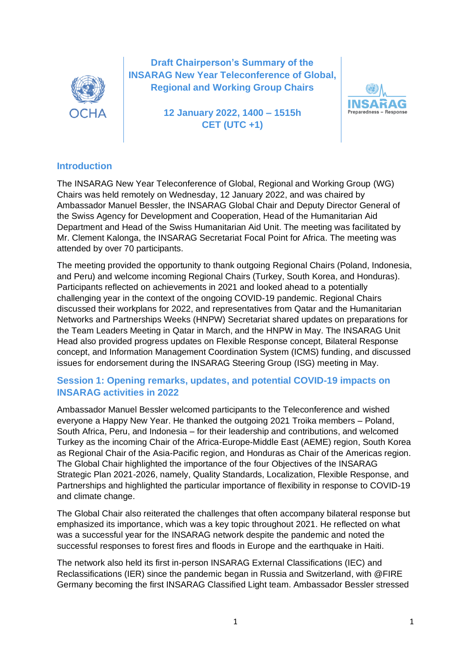

**Draft Chairperson's Summary of the INSARAG New Year Teleconference of Global, Regional and Working Group Chairs**

> **12 January 2022, 1400 – 1515h CET (UTC +1)**



## **Introduction**

The INSARAG New Year Teleconference of Global, Regional and Working Group (WG) Chairs was held remotely on Wednesday, 12 January 2022, and was chaired by Ambassador Manuel Bessler, the INSARAG Global Chair and Deputy Director General of the Swiss Agency for Development and Cooperation, Head of the Humanitarian Aid Department and Head of the Swiss Humanitarian Aid Unit. The meeting was facilitated by Mr. Clement Kalonga, the INSARAG Secretariat Focal Point for Africa. The meeting was attended by over 70 participants.

The meeting provided the opportunity to thank outgoing Regional Chairs (Poland, Indonesia, and Peru) and welcome incoming Regional Chairs (Turkey, South Korea, and Honduras). Participants reflected on achievements in 2021 and looked ahead to a potentially challenging year in the context of the ongoing COVID-19 pandemic. Regional Chairs discussed their workplans for 2022, and representatives from Qatar and the Humanitarian Networks and Partnerships Weeks (HNPW) Secretariat shared updates on preparations for the Team Leaders Meeting in Qatar in March, and the HNPW in May. The INSARAG Unit Head also provided progress updates on Flexible Response concept, Bilateral Response concept, and Information Management Coordination System (ICMS) funding, and discussed issues for endorsement during the INSARAG Steering Group (ISG) meeting in May.

## **Session 1: Opening remarks, updates, and potential COVID-19 impacts on INSARAG activities in 2022**

Ambassador Manuel Bessler welcomed participants to the Teleconference and wished everyone a Happy New Year. He thanked the outgoing 2021 Troika members – Poland, South Africa, Peru, and Indonesia – for their leadership and contributions, and welcomed Turkey as the incoming Chair of the Africa-Europe-Middle East (AEME) region, South Korea as Regional Chair of the Asia-Pacific region, and Honduras as Chair of the Americas region. The Global Chair highlighted the importance of the four Objectives of the INSARAG Strategic Plan 2021-2026, namely, Quality Standards, Localization, Flexible Response, and Partnerships and highlighted the particular importance of flexibility in response to COVID-19 and climate change.

The Global Chair also reiterated the challenges that often accompany bilateral response but emphasized its importance, which was a key topic throughout 2021. He reflected on what was a successful year for the INSARAG network despite the pandemic and noted the successful responses to forest fires and floods in Europe and the earthquake in Haiti.

The network also held its first in-person INSARAG External Classifications (IEC) and Reclassifications (IER) since the pandemic began in Russia and Switzerland, with @FIRE Germany becoming the first INSARAG Classified Light team. Ambassador Bessler stressed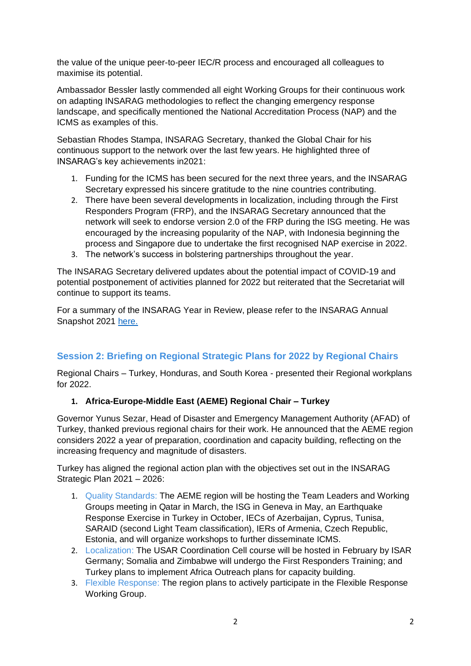the value of the unique peer-to-peer IEC/R process and encouraged all colleagues to maximise its potential.

Ambassador Bessler lastly commended all eight Working Groups for their continuous work on adapting INSARAG methodologies to reflect the changing emergency response landscape, and specifically mentioned the National Accreditation Process (NAP) and the ICMS as examples of this.

Sebastian Rhodes Stampa, INSARAG Secretary, thanked the Global Chair for his continuous support to the network over the last few years. He highlighted three of INSARAG's key achievements in2021:

- 1. Funding for the ICMS has been secured for the next three years, and the INSARAG Secretary expressed his sincere gratitude to the nine countries contributing.
- 2. There have been several developments in localization, including through the First Responders Program (FRP), and the INSARAG Secretary announced that the network will seek to endorse version 2.0 of the FRP during the ISG meeting. He was encouraged by the increasing popularity of the NAP, with Indonesia beginning the process and Singapore due to undertake the first recognised NAP exercise in 2022.
- 3. The network's success in bolstering partnerships throughout the year.

The INSARAG Secretary delivered updates about the potential impact of COVID-19 and potential postponement of activities planned for 2022 but reiterated that the Secretariat will continue to support its teams.

For a summary of the INSARAG Year in Review, please refer to the INSARAG Annual Snapshot 2021 [here.](https://www.insarag.org/wp-content/uploads/2022/01/INSARAG-Snapshot-of-2021.pdf)

# **Session 2: Briefing on Regional Strategic Plans for 2022 by Regional Chairs**

Regional Chairs – Turkey, Honduras, and South Korea - presented their Regional workplans for 2022.

### **1. Africa-Europe-Middle East (AEME) Regional Chair – Turkey**

Governor Yunus Sezar, Head of Disaster and Emergency Management Authority (AFAD) of Turkey, thanked previous regional chairs for their work. He announced that the AEME region considers 2022 a year of preparation, coordination and capacity building, reflecting on the increasing frequency and magnitude of disasters.

Turkey has aligned the regional action plan with the objectives set out in the INSARAG Strategic Plan 2021 – 2026:

- 1. Quality Standards: The AEME region will be hosting the Team Leaders and Working Groups meeting in Qatar in March, the ISG in Geneva in May, an Earthquake Response Exercise in Turkey in October, IECs of Azerbaijan, Cyprus, Tunisa, SARAID (second Light Team classification), IERs of Armenia, Czech Republic, Estonia, and will organize workshops to further disseminate ICMS.
- 2. Localization: The USAR Coordination Cell course will be hosted in February by ISAR Germany; Somalia and Zimbabwe will undergo the First Responders Training; and Turkey plans to implement Africa Outreach plans for capacity building.
- 3. Flexible Response: The region plans to actively participate in the Flexible Response Working Group.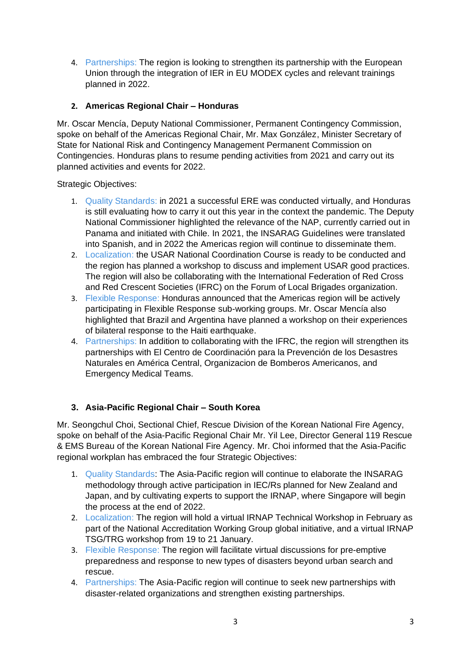4. Partnerships: The region is looking to strengthen its partnership with the European Union through the integration of IER in EU MODEX cycles and relevant trainings planned in 2022.

## **2. Americas Regional Chair – Honduras**

Mr. Oscar Mencía, Deputy National Commissioner, Permanent Contingency Commission, spoke on behalf of the Americas Regional Chair, Mr. Max González, Minister Secretary of State for National Risk and Contingency Management Permanent Commission on Contingencies. Honduras plans to resume pending activities from 2021 and carry out its planned activities and events for 2022.

Strategic Objectives:

- 1. Quality Standards: in 2021 a successful ERE was conducted virtually, and Honduras is still evaluating how to carry it out this year in the context the pandemic. The Deputy National Commissioner highlighted the relevance of the NAP, currently carried out in Panama and initiated with Chile. In 2021, the INSARAG Guidelines were translated into Spanish, and in 2022 the Americas region will continue to disseminate them.
- 2. Localization: the USAR National Coordination Course is ready to be conducted and the region has planned a workshop to discuss and implement USAR good practices. The region will also be collaborating with the International Federation of Red Cross and Red Crescent Societies (IFRC) on the Forum of Local Brigades organization.
- 3. Flexible Response: Honduras announced that the Americas region will be actively participating in Flexible Response sub-working groups. Mr. Oscar Mencía also highlighted that Brazil and Argentina have planned a workshop on their experiences of bilateral response to the Haiti earthquake.
- 4. Partnerships: In addition to collaborating with the IFRC, the region will strengthen its partnerships with El Centro de Coordinación para la Prevención de los Desastres Naturales en América Central, Organizacion de Bomberos Americanos, and Emergency Medical Teams.

### **3. Asia-Pacific Regional Chair – South Korea**

Mr. Seongchul Choi, Sectional Chief, Rescue Division of the Korean National Fire Agency, spoke on behalf of the Asia-Pacific Regional Chair Mr. Yil Lee, Director General 119 Rescue & EMS Bureau of the Korean National Fire Agency. Mr. Choi informed that the Asia-Pacific regional workplan has embraced the four Strategic Objectives:

- 1. Quality Standards: The Asia-Pacific region will continue to elaborate the INSARAG methodology through active participation in IEC/Rs planned for New Zealand and Japan, and by cultivating experts to support the IRNAP, where Singapore will begin the process at the end of 2022.
- 2. Localization: The region will hold a virtual IRNAP Technical Workshop in February as part of the National Accreditation Working Group global initiative, and a virtual IRNAP TSG/TRG workshop from 19 to 21 January.
- 3. Flexible Response: The region will facilitate virtual discussions for pre-emptive preparedness and response to new types of disasters beyond urban search and rescue.
- 4. Partnerships: The Asia-Pacific region will continue to seek new partnerships with disaster-related organizations and strengthen existing partnerships.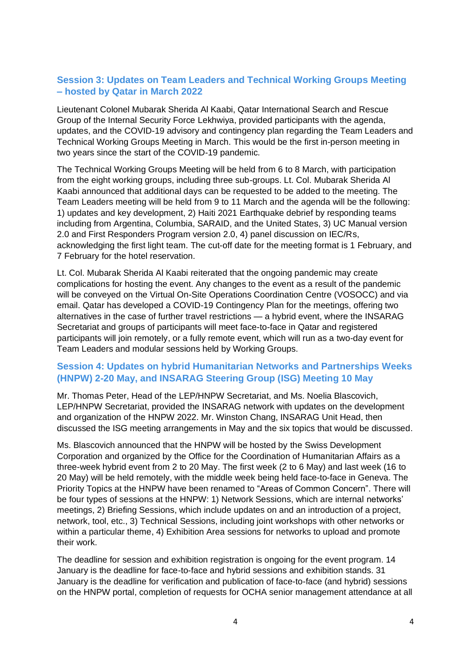# **Session 3: Updates on Team Leaders and Technical Working Groups Meeting – hosted by Qatar in March 2022**

Lieutenant Colonel Mubarak Sherida Al Kaabi, Qatar International Search and Rescue Group of the Internal Security Force Lekhwiya, provided participants with the agenda, updates, and the COVID-19 advisory and contingency plan regarding the Team Leaders and Technical Working Groups Meeting in March. This would be the first in-person meeting in two years since the start of the COVID-19 pandemic.

The Technical Working Groups Meeting will be held from 6 to 8 March, with participation from the eight working groups, including three sub-groups. Lt. Col. Mubarak Sherida Al Kaabi announced that additional days can be requested to be added to the meeting. The Team Leaders meeting will be held from 9 to 11 March and the agenda will be the following: 1) updates and key development, 2) Haiti 2021 Earthquake debrief by responding teams including from Argentina, Columbia, SARAID, and the United States, 3) UC Manual version 2.0 and First Responders Program version 2.0, 4) panel discussion on IEC/Rs, acknowledging the first light team. The cut-off date for the meeting format is 1 February, and 7 February for the hotel reservation.

Lt. Col. Mubarak Sherida Al Kaabi reiterated that the ongoing pandemic may create complications for hosting the event. Any changes to the event as a result of the pandemic will be conveyed on the Virtual On-Site Operations Coordination Centre (VOSOCC) and via email. Qatar has developed a COVID-19 Contingency Plan for the meetings, offering two alternatives in the case of further travel restrictions — a hybrid event, where the INSARAG Secretariat and groups of participants will meet face-to-face in Qatar and registered participants will join remotely, or a fully remote event, which will run as a two-day event for Team Leaders and modular sessions held by Working Groups.

## **Session 4: Updates on hybrid Humanitarian Networks and Partnerships Weeks (HNPW) 2-20 May, and INSARAG Steering Group (ISG) Meeting 10 May**

Mr. Thomas Peter, Head of the LEP/HNPW Secretariat, and Ms. Noelia Blascovich, LEP/HNPW Secretariat, provided the INSARAG network with updates on the development and organization of the HNPW 2022. Mr. Winston Chang, INSARAG Unit Head, then discussed the ISG meeting arrangements in May and the six topics that would be discussed.

Ms. Blascovich announced that the HNPW will be hosted by the Swiss Development Corporation and organized by the Office for the Coordination of Humanitarian Affairs as a three-week hybrid event from 2 to 20 May. The first week (2 to 6 May) and last week (16 to 20 May) will be held remotely, with the middle week being held face-to-face in Geneva. The Priority Topics at the HNPW have been renamed to "Areas of Common Concern". There will be four types of sessions at the HNPW: 1) Network Sessions, which are internal networks' meetings, 2) Briefing Sessions, which include updates on and an introduction of a project, network, tool, etc., 3) Technical Sessions, including joint workshops with other networks or within a particular theme, 4) Exhibition Area sessions for networks to upload and promote their work.

The deadline for session and exhibition registration is ongoing for the event program. 14 January is the deadline for face-to-face and hybrid sessions and exhibition stands. 31 January is the deadline for verification and publication of face-to-face (and hybrid) sessions on the HNPW portal, completion of requests for OCHA senior management attendance at all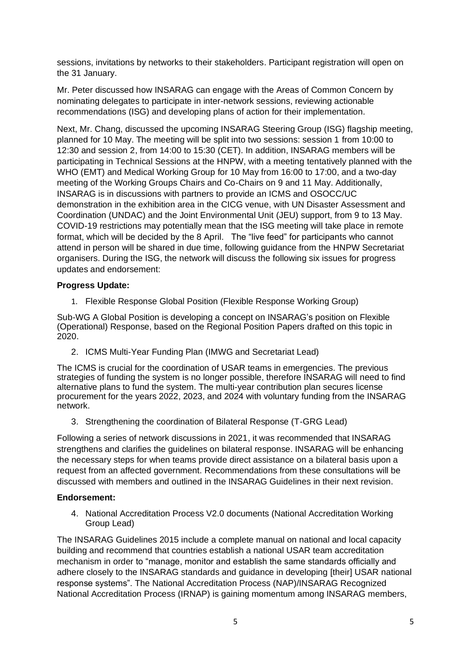sessions, invitations by networks to their stakeholders. Participant registration will open on the 31 January.

Mr. Peter discussed how INSARAG can engage with the Areas of Common Concern by nominating delegates to participate in inter-network sessions, reviewing actionable recommendations (ISG) and developing plans of action for their implementation.

Next, Mr. Chang, discussed the upcoming INSARAG Steering Group (ISG) flagship meeting, planned for 10 May. The meeting will be split into two sessions: session 1 from 10:00 to 12:30 and session 2, from 14:00 to 15:30 (CET). In addition, INSARAG members will be participating in Technical Sessions at the HNPW, with a meeting tentatively planned with the WHO (EMT) and Medical Working Group for 10 May from 16:00 to 17:00, and a two-day meeting of the Working Groups Chairs and Co-Chairs on 9 and 11 May. Additionally, INSARAG is in discussions with partners to provide an ICMS and OSOCC/UC demonstration in the exhibition area in the CICG venue, with UN Disaster Assessment and Coordination (UNDAC) and the Joint Environmental Unit (JEU) support, from 9 to 13 May. COVID-19 restrictions may potentially mean that the ISG meeting will take place in remote format, which will be decided by the 8 April. The "live feed" for participants who cannot attend in person will be shared in due time, following guidance from the HNPW Secretariat organisers. During the ISG, the network will discuss the following six issues for progress updates and endorsement:

#### **Progress Update:**

1. Flexible Response Global Position (Flexible Response Working Group)

Sub-WG A Global Position is developing a concept on INSARAG's position on Flexible (Operational) Response, based on the Regional Position Papers drafted on this topic in 2020.

2. ICMS Multi-Year Funding Plan (IMWG and Secretariat Lead)

The ICMS is crucial for the coordination of USAR teams in emergencies. The previous strategies of funding the system is no longer possible, therefore INSARAG will need to find alternative plans to fund the system. The multi-year contribution plan secures license procurement for the years 2022, 2023, and 2024 with voluntary funding from the INSARAG network.

3. Strengthening the coordination of Bilateral Response (T-GRG Lead)

Following a series of network discussions in 2021, it was recommended that INSARAG strengthens and clarifies the guidelines on bilateral response. INSARAG will be enhancing the necessary steps for when teams provide direct assistance on a bilateral basis upon a request from an affected government. Recommendations from these consultations will be discussed with members and outlined in the INSARAG Guidelines in their next revision.

#### **Endorsement:**

4. National Accreditation Process V2.0 documents (National Accreditation Working Group Lead)

The INSARAG Guidelines 2015 include a complete manual on national and local capacity building and recommend that countries establish a national USAR team accreditation mechanism in order to "manage, monitor and establish the same standards officially and adhere closely to the INSARAG standards and guidance in developing [their] USAR national response systems". The National Accreditation Process (NAP)/INSARAG Recognized National Accreditation Process (IRNAP) is gaining momentum among INSARAG members,